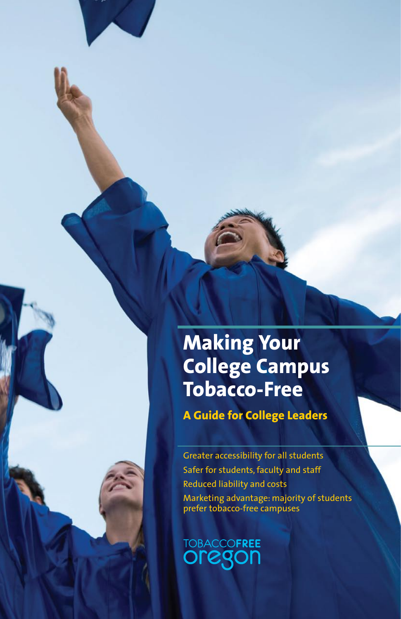## **Making Your College Campus Tobacco-Free**

**A Guide for College Leaders**

Greater accessibility for all students Safer for students, faculty and staff Reduced liability and costs Marketing advantage: majority of students prefer tobacco-free campuses

## **TOBACCOFREE 290**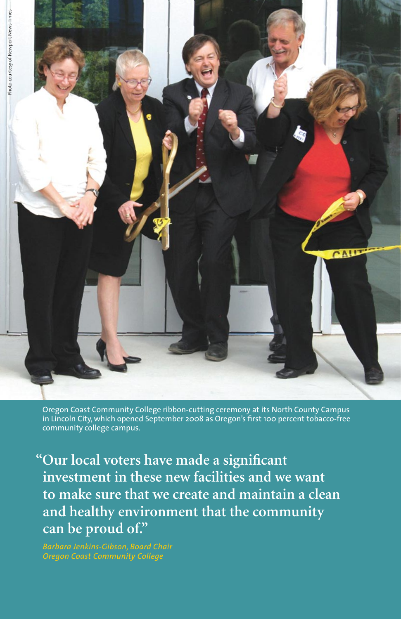$CAL$ 

Oregon Coast Community College ribbon-cutting ceremony at its North County Campus in Lincoln City, which opened September 2008 as Oregon's first 100 percent tobacco-free community college campus.

**"Our local voters have made a significant investment in these new facilities and we want to make sure that we create and maintain a clean and healthy environment that the community can be proud of."**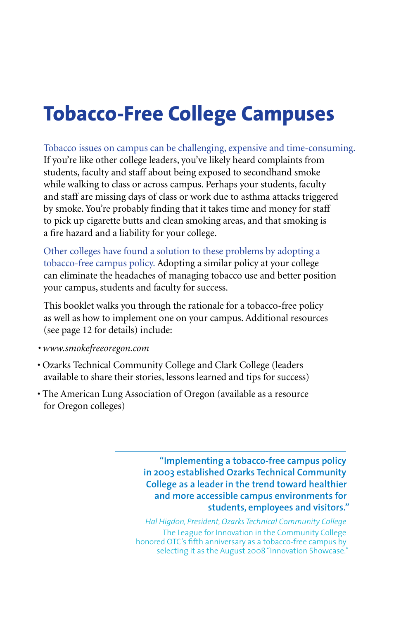## **Tobacco-Free College Campuses**

Tobacco issues on campus can be challenging, expensive and time-consuming. If you're like other college leaders, you've likely heard complaints from students, faculty and staff about being exposed to secondhand smoke while walking to class or across campus. Perhaps your students, faculty and staff are missing days of class or work due to asthma attacks triggered by smoke. You're probably finding that it takes time and money for staff to pick up cigarette butts and clean smoking areas, and that smoking is a fire hazard and a liability for your college.

Other colleges have found a solution to these problems by adopting a tobacco-free campus policy. Adopting a similar policy at your college can eliminate the headaches of managing tobacco use and better position your campus, students and faculty for success.

This booklet walks you through the rationale for a tobacco-free policy as well as how to implement one on your campus. Additional resources (see page 12 for details) include:

- *• www.smokefreeoregon.com*
- • Ozarks Technical Community College and Clark College (leaders available to share their stories, lessons learned and tips for success)
- The American Lung Association of Oregon (available as a resource for Oregon colleges)

**"Implementing a tobacco-free campus policy in 2003 established Ozarks Technical Community College as a leader in the trend toward healthier and more accessible campus environments for students, employees and visitors."**

*Hal Higdon, President, Ozarks Technical Community College* The League for Innovation in the Community College honored OTC's fifth anniversary as a tobacco-free campus by selecting it as the August 2008 "Innovation Showcase."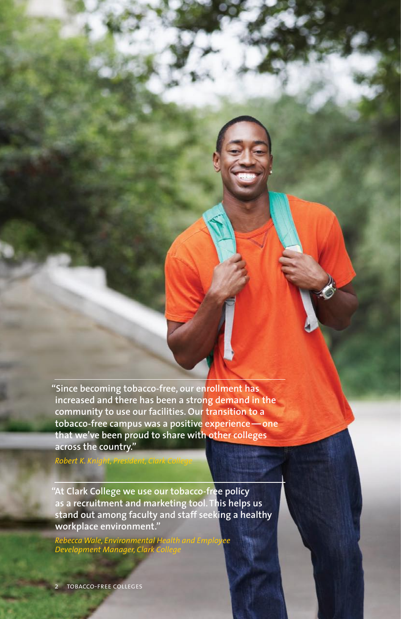**"Since becoming tobacco-free, our enrollment has increased and there has been a strong demand in the community to use our facilities. Our transition to a tobacco-free campus was a positive experience—one that we've been proud to share with other colleges across the country."**

*Robert K. Knight, President, Clark College*

**"At Clark College we use our tobacco-free policy as a recruitment and marketing tool. This helps us stand out among faculty and staff seeking a healthy workplace environment."** 

*Rebecca Wale, Environmental Health and Employee Development Manager, Clark College*

2 **TOBACCO-FREE COLLEGES**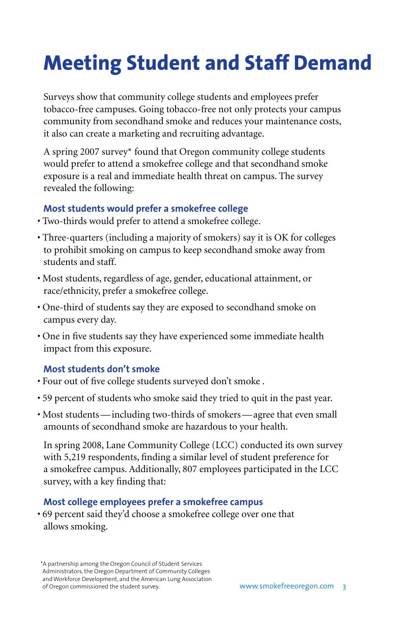# **Meeting Student and Staff Demand**

Surveys show that community college students and employees prefer tobacco-free campuses. Going tobacco-free not only protects your campus community from secondhand smoke and reduces your maintenance costs, it also can create a marketing and recruiting advantage.

A spring 2007 survey\* found that Oregon community college students would prefer to attend a smokefree college and that secondhand smoke exposure is a real and immediate health threat on campus. The survey revealed the following:

## **Most students would prefer a smokefree college**

- Two-thirds would prefer to attend a smokefree college.
- Three-quarters (including a majority of smokers) say it is OK for colleges to prohibit smoking on campus to keep secondhand smoke away from students and staff.
- • Most students, regardless of age, gender, educational attainment, or race/ethnicity, prefer a smokefree college.
- • One-third of students say they are exposed to secondhand smoke on campus every day.
- • One in five students say they have experienced some immediate health impact from this exposure.

## **Most students don't smoke**

- Four out of five college students surveyed don't smoke.
- 59 percent of students who smoke said they tried to quit in the past year.
- Most students—including two-thirds of smokers—agree that even small amounts of secondhand smoke are hazardous to your health.

In spring 2008, Lane Community College (LCC) conducted its own survey with 5,219 respondents, finding a similar level of student preference for a smokefree campus. Additionally, 807 employees participated in the LCC survey, with a key finding that:

## **Most college employees prefer a smokefree campus**

• 69 percent said they'd choose a smokefree college over one that allows smoking.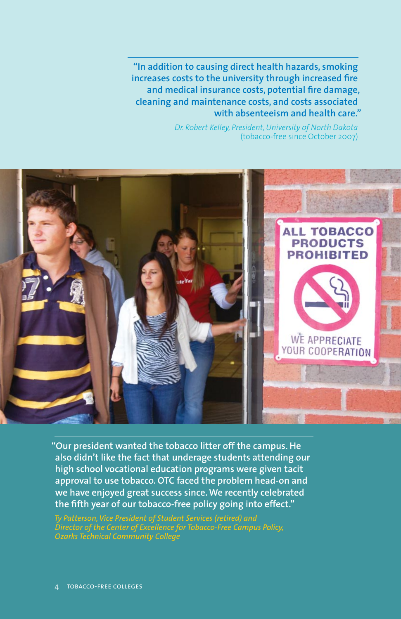**"In addition to causing direct health hazards, smoking increases costs to the university through increased fire and medical insurance costs, potential fire damage, cleaning and maintenance costs, and costs associated with absenteeism and health care."** 

> *Dr. Robert Kelley, President, University of North Dakota*  (tobacco-free since October 2007)



**"Our president wanted the tobacco litter off the campus. He also didn't like the fact that underage students attending our high school vocational education programs were given tacit approval to use tobacco. OTC faced the problem head-on and we have enjoyed great success since. We recently celebrated the fifth year of our tobacco-free policy going into effect."**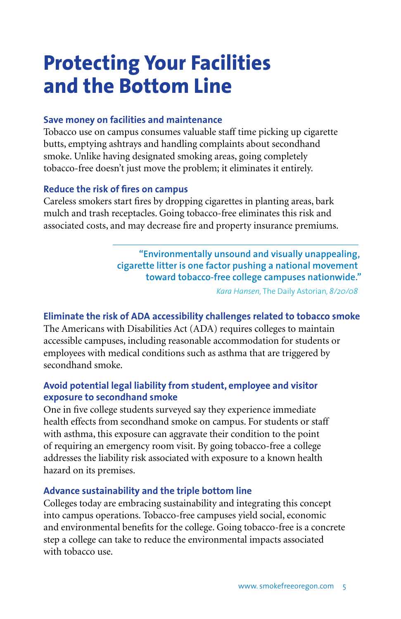## **Protecting Your Facilities and the Bottom Line**

#### **Save money on facilities and maintenance**

Tobacco use on campus consumes valuable staff time picking up cigarette butts, emptying ashtrays and handling complaints about secondhand smoke. Unlike having designated smoking areas, going completely tobacco-free doesn't just move the problem; it eliminates it entirely.

### **Reduce the risk of fires on campus**

Careless smokers start fires by dropping cigarettes in planting areas, bark mulch and trash receptacles. Going tobacco-free eliminates this risk and associated costs, and may decrease fire and property insurance premiums.

> **"Environmentally unsound and visually unappealing, cigarette litter is one factor pushing a national movement toward tobacco-free college campuses nationwide."**

> > *Kara Hansen,* The Daily Astorian*, 8/20/08*

#### **Eliminate the risk of ADA accessibility challenges related to tobacco smoke**

The Americans with Disabilities Act (ADA) requires colleges to maintain accessible campuses, including reasonable accommodation for students or employees with medical conditions such as asthma that are triggered by secondhand smoke.

### **Avoid potential legal liability from student, employee and visitor exposure to secondhand smoke**

One in five college students surveyed say they experience immediate health effects from secondhand smoke on campus. For students or staff with asthma, this exposure can aggravate their condition to the point of requiring an emergency room visit. By going tobacco-free a college addresses the liability risk associated with exposure to a known health hazard on its premises.

#### **Advance sustainability and the triple bottom line**

Colleges today are embracing sustainability and integrating this concept into campus operations. Tobacco-free campuses yield social, economic and environmental benefits for the college. Going tobacco-free is a concrete step a college can take to reduce the environmental impacts associated with tobacco use.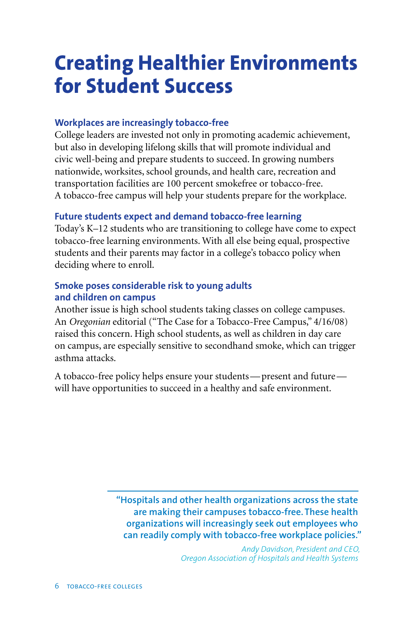## **Creating Healthier Environments for Student Success**

## **Workplaces are increasingly tobacco-free**

College leaders are invested not only in promoting academic achievement, but also in developing lifelong skills that will promote individual and civic well-being and prepare students to succeed. In growing numbers nationwide, worksites, school grounds, and health care, recreation and transportation facilities are 100 percent smokefree or tobacco-free. A tobacco-free campus will help your students prepare for the workplace.

## **Future students expect and demand tobacco-free learning**

Today's K–12 students who are transitioning to college have come to expect tobacco-free learning environments. With all else being equal, prospective students and their parents may factor in a college's tobacco policy when deciding where to enroll.

### **Smoke poses considerable risk to young adults and children on campus**

Another issue is high school students taking classes on college campuses. An *Oregonian* editorial ("The Case for a Tobacco-Free Campus," 4/16/08) raised this concern. High school students, as well as children in day care on campus, are especially sensitive to secondhand smoke, which can trigger asthma attacks.

A tobacco-free policy helps ensure your students—present and future will have opportunities to succeed in a healthy and safe environment.

> **"Hospitals and other health organizations across the state are making their campuses tobacco-free. These health organizations will increasingly seek out employees who can readily comply with tobacco-free workplace policies."**

> > *Andy Davidson, President and CEO, Oregon Association of Hospitals and Health Systems*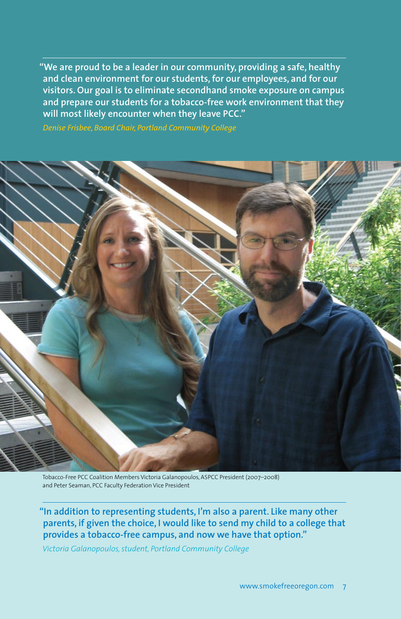**"We are proud to be a leader in our community, providing a safe, healthy and clean environment for our students, for our employees, and for our visitors. Our goal is to eliminate secondhand smoke exposure on campus and prepare our students for a tobacco-free work environment that they will most likely encounter when they leave PCC."** 



Tobacco-Free PCC Coalition Members Victoria Galanopoulos, ASPCC President (2007–2008) and Peter Seaman, PCC Faculty Federation Vice President

**"In addition to representing students, I'm also a parent. Like many other parents, if given the choice, I would like to send my child to a college that provides a tobacco-free campus, and now we have that option."**

*Victoria Galanopoulos, student, Portland Community College*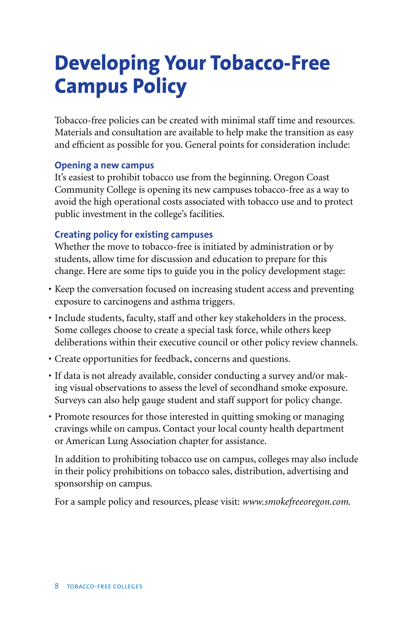## **Developing Your Tobacco-Free Campus Policy**

Tobacco-free policies can be created with minimal staff time and resources. Materials and consultation are available to help make the transition as easy and efficient as possible for you. General points for consideration include:

### **Opening a new campus**

It's easiest to prohibit tobacco use from the beginning. Oregon Coast Community College is opening its new campuses tobacco-free as a way to avoid the high operational costs associated with tobacco use and to protect public investment in the college's facilities.

#### **Creating policy for existing campuses**

Whether the move to tobacco-free is initiated by administration or by students, allow time for discussion and education to prepare for this change. Here are some tips to guide you in the policy development stage:

- Keep the conversation focused on increasing student access and preventing exposure to carcinogens and asthma triggers.
- Include students, faculty, staff and other key stakeholders in the process. Some colleges choose to create a special task force, while others keep deliberations within their executive council or other policy review channels.
- • Create opportunities for feedback, concerns and questions.
- If data is not already available, consider conducting a survey and/or making visual observations to assess the level of secondhand smoke exposure. Surveys can also help gauge student and staff support for policy change.
- Promote resources for those interested in quitting smoking or managing cravings while on campus. Contact your local county health department or American Lung Association chapter for assistance.

In addition to prohibiting tobacco use on campus, colleges may also include in their policy prohibitions on tobacco sales, distribution, advertising and sponsorship on campus.

For a sample policy and resources, please visit: *www.smokefreeoregon.com*.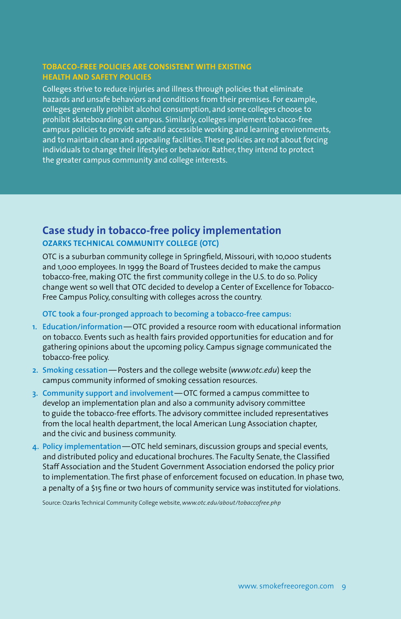#### **Tobacco-free policies are consistent with existing health and safety policies**

Colleges strive to reduce injuries and illness through policies that eliminate hazards and unsafe behaviors and conditions from their premises. For example, colleges generally prohibit alcohol consumption, and some colleges choose to prohibit skateboarding on campus. Similarly, colleges implement tobacco-free campus policies to provide safe and accessible working and learning environments, and to maintain clean and appealing facilities. These policies are not about forcing individuals to change their lifestyles or behavior. Rather, they intend to protect the greater campus community and college interests.

## **Case study in tobacco-free policy implementation Ozarks Technical Community College (OTC)**

OTC is a suburban community college in Springfield, Missouri, with 10,000 students and 1,000 employees. In 1999 the Board of Trustees decided to make the campus tobacco-free, making OTC the first community college in the U.S. to do so. Policy change went so well that OTC decided to develop a Center of Excellence for Tobacco-Free Campus Policy, consulting with colleges across the country.

#### **OTC took a four-pronged approach to becoming a tobacco-free campus:**

- **1. Education/information**—OTC provided a resource room with educational information on tobacco. Events such as health fairs provided opportunities for education and for gathering opinions about the upcoming policy. Campus signage communicated the tobacco-free policy.
- **2. Smoking cessation**—Posters and the college website (*www.otc.edu*) keep the campus community informed of smoking cessation resources.
- **3. Community support and involvement**—OTC formed a campus committee to develop an implementation plan and also a community advisory committee to guide the tobacco-free efforts. The advisory committee included representatives from the local health department, the local American Lung Association chapter, and the civic and business community.
- **4. Policy implementation**—OTC held seminars, discussion groups and special events, and distributed policy and educational brochures. The Faculty Senate, the Classified Staff Association and the Student Government Association endorsed the policy prior to implementation. The first phase of enforcement focused on education. In phase two, a penalty of a \$15 fine or two hours of community service was instituted for violations.

Source: Ozarks Technical Community College website, *www.otc.edu/about/tobaccofree.php*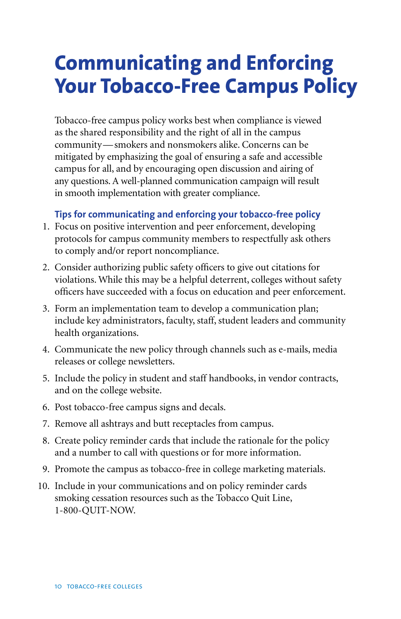## **Communicating and Enforcing Your Tobacco-Free Campus Policy**

Tobacco-free campus policy works best when compliance is viewed as the shared responsibility and the right of all in the campus community—smokers and nonsmokers alike. Concerns can be mitigated by emphasizing the goal of ensuring a safe and accessible campus for all, and by encouraging open discussion and airing of any questions.A well-planned communication campaign will result in smooth implementation with greater compliance.

## **Tips for communicating and enforcing your tobacco-free policy**

- 1. Focus on positive intervention and peer enforcement, developing protocols for campus community members to respectfully ask others to comply and/or report noncompliance.
- 2. Consider authorizing public safety officers to give out citations for violations. While this may be a helpful deterrent, colleges without safety officers have succeeded with a focus on education and peer enforcement.
- 3. Form an implementation team to develop a communication plan; include key administrators, faculty, staff, student leaders and community health organizations.
- 4. Communicate the new policy through channels such as e-mails, media releases or college newsletters.
- 5. Include the policy in student and staff handbooks, in vendor contracts, and on the college website.
- 6. Post tobacco-free campus signs and decals.
- 7. Remove all ashtrays and butt receptacles from campus.
- 8. Create policy reminder cards that include the rationale for the policy and a number to call with questions or for more information.
- 9. Promote the campus as tobacco-free in college marketing materials.
- 10. Include in your communications and on policy reminder cards smoking cessation resources such as the Tobacco Quit Line, 1-800-QUIT-NOW.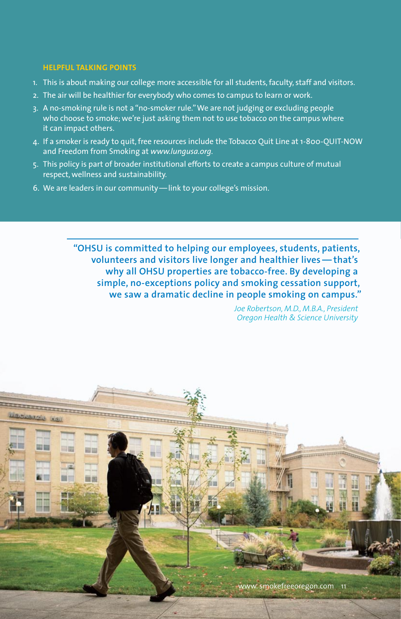#### **Helpful Talking Points**

- 1. This is about making our college more accessible for all students, faculty, staff and visitors.
- 2. The air will be healthier for everybody who comes to campus to learn or work.
- 3. A no-smoking rule is not a "no-smoker rule." We are not judging or excluding people who choose to smoke; we're just asking them not to use tobacco on the campus where it can impact others.
- 4. If a smoker is ready to quit, free resources include the Tobacco Quit Line at 1-800-QUIT-NOW and Freedom from Smoking at *www.lungusa.org.*
- 5. This policy is part of broader institutional efforts to create a campus culture of mutual respect, wellness and sustainability.
- 6. We are leaders in our community—link to your college's mission.

**"OHSU is committed to helping our employees, students, patients, volunteers and visitors live longer and healthier lives— that's why all OHSU properties are tobacco-free. By developing a simple, no-exceptions policy and smoking cessation support, we saw a dramatic decline in people smoking on campus."**

> *Joe Robertson, M.D., M.B.A., President Oregon Health & Science University*

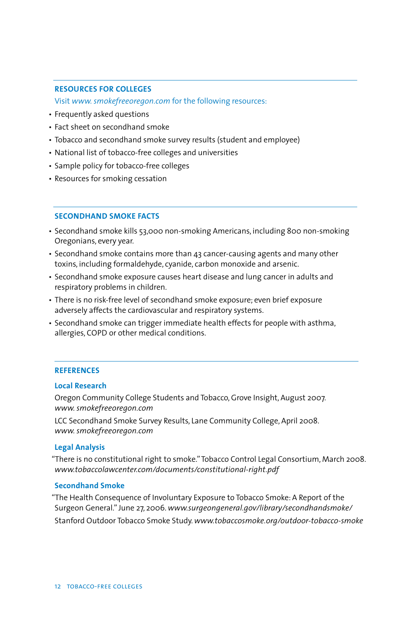#### **RESOURCES FOR COLLEGES**

Visit *www. smokefreeoregon.com* for the following resources:

- Frequently asked questions
- Fact sheet on secondhand smoke
- Tobacco and secondhand smoke survey results (student and employee)
- National list of tobacco-free colleges and universities
- Sample policy for tobacco-free colleges
- Resources for smoking cessation

#### **Secondhand Smoke Facts**

- Secondhand smoke kills 53,000 non-smoking Americans, including 800 non-smoking Oregonians, every year.
- Secondhand smoke contains more than 43 cancer-causing agents and many other toxins, including formaldehyde, cyanide, carbon monoxide and arsenic.
- Secondhand smoke exposure causes heart disease and lung cancer in adults and respiratory problems in children.
- There is no risk-free level of secondhand smoke exposure; even brief exposure adversely affects the cardiovascular and respiratory systems.
- Secondhand smoke can trigger immediate health effects for people with asthma, allergies, COPD or other medical conditions.

#### **REFERENCES**

#### **Local Research**

Oregon Community College Students and Tobacco, Grove Insight, August 2007. *www. smokefreeoregon.com*

LCC Secondhand Smoke Survey Results, Lane Community College, April 2008. *www. smokefreeoregon.com*

#### **Legal Analysis**

"There is no constitutional right to smoke." Tobacco Control Legal Consortium, March 2008. *www.tobaccolawcenter.com/documents/constitutional-right.pdf* 

#### **Secondhand Smoke**

"The Health Consequence of Involuntary Exposure to Tobacco Smoke: A Report of the Surgeon General." June 27, 2006. *www.surgeongeneral.gov/library/secondhandsmoke/*  Stanford Outdoor Tobacco Smoke Study. *www.tobaccosmoke.org/outdoor-tobacco-smoke*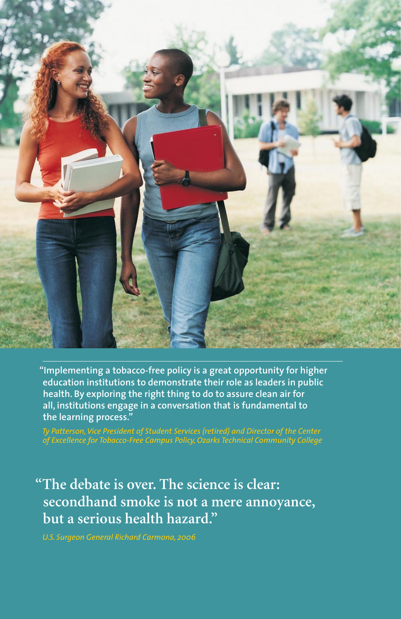

**"Implementing a tobacco-free policy is a great opportunity for higher education institutions to demonstrate their role as leaders in public health. By exploring the right thing to do to assure clean air for all, institutions engage in a conversation that is fundamental to the learning process."**

**"The debate is over. The science is clear: secondhand smoke is not a mere annoyance, but a serious health hazard."**